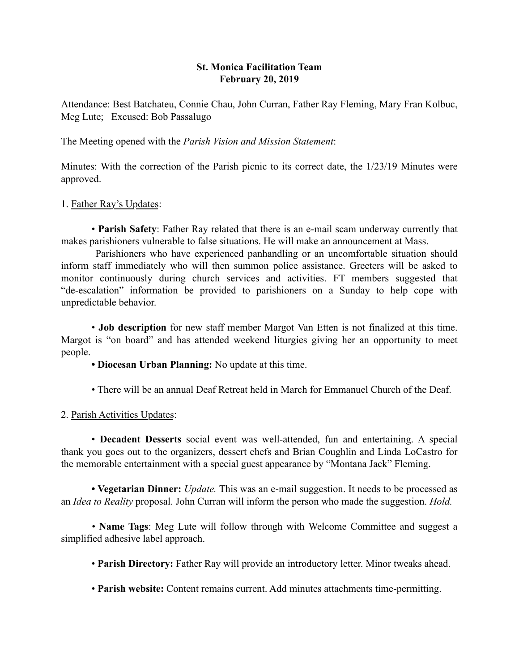# St. Monica Facilitation Team February 20, 2019

Attendance: Best Batchateu, Connie Chau, John Curran, Father Ray Fleming, Mary Fran Kolbuc, Meg Lute; Excused: Bob Passalugo

The Meeting opened with the *Parish Vision and Mission Statement*:

Minutes: With the correction of the Parish picnic to its correct date, the 1/23/19 Minutes were approved.

### 1. Father Ray's Updates:

• Parish Safety: Father Ray related that there is an e-mail scam underway currently that makes parishioners vulnerable to false situations. He will make an announcement at Mass.

 Parishioners who have experienced panhandling or an uncomfortable situation should inform staff immediately who will then summon police assistance. Greeters will be asked to monitor continuously during church services and activities. FT members suggested that "de-escalation" information be provided to parishioners on a Sunday to help cope with unpredictable behavior.

• Job description for new staff member Margot Van Etten is not finalized at this time. Margot is "on board" and has attended weekend liturgies giving her an opportunity to meet people.

• Diocesan Urban Planning: No update at this time.

• There will be an annual Deaf Retreat held in March for Emmanuel Church of the Deaf.

# 2. Parish Activities Updates:

• Decadent Desserts social event was well-attended, fun and entertaining. A special thank you goes out to the organizers, dessert chefs and Brian Coughlin and Linda LoCastro for the memorable entertainment with a special guest appearance by "Montana Jack" Fleming.

• Vegetarian Dinner: *Update.* This was an e-mail suggestion. It needs to be processed as an *Idea to Reality* proposal. John Curran will inform the person who made the suggestion. *Hold.*

*•* Name Tags: Meg Lute will follow through with Welcome Committee and suggest a simplified adhesive label approach.

• Parish Directory: Father Ray will provide an introductory letter. Minor tweaks ahead.

• Parish website: Content remains current. Add minutes attachments time-permitting.